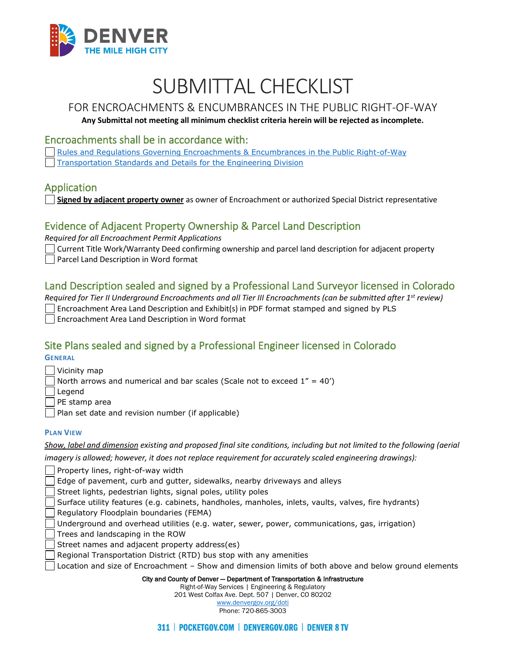

# SUBMITTAL CHECKLIST

## FOR ENCROACHMENTS & ENCUMBRANCES IN THE PUBLIC RIGHT-OF-WAY

#### **Any Submittal not meeting all minimum checklist criteria herein will be rejected as incomplete.**

#### Encroachments shall be in accordance with:

[Rules and Regulations Governing Encroachments & Encumbrances in the Public Right-of-Way](https://www.denvergov.org/Government/Departments/Department-of-Transportation-and-Infrastructure/Documents/Rules-Regulations) [Transportation Standards and Details for the Engineering Division](https://www.denvergov.org/Government/Departments/Department-of-Transportation-and-Infrastructure/Documents/Standards-Details)

### Application

**Signed by adjacent property owner** as owner of Encroachment or authorized Special District representative

## Evidence of Adjacent Property Ownership & Parcel Land Description

*Required for all Encroachment Permit Applications* 

Current Title Work/Warranty Deed confirming ownership and parcel land description for adjacent property Parcel Land Description in Word format

## Land Description sealed and signed by a Professional Land Surveyor licensed in Colorado

*Required for Tier II Underground Encroachments and all Tier III Encroachments (can be submitted after 1st review)* Encroachment Area Land Description and Exhibit(s) in PDF format stamped and signed by PLS Encroachment Area Land Description in Word format

## Site Plans sealed and signed by a Professional Engineer licensed in Colorado

**GENERAL**

| Vicinity map |
|--------------|
|--------------|

North arrows and numerical and bar scales (Scale not to exceed  $1'' = 40'$ )

Legend

PE stamp area

Plan set date and revision number (if applicable)

#### **PLAN VIEW**

*Show, label and dimension existing and proposed final site conditions, including but not limited to the following (aerial* 

*imagery is allowed; however, it does not replace requirement for accurately scaled engineering drawings):*

Property lines, right-of-way width

Edge of pavement, curb and gutter, sidewalks, nearby driveways and alleys

Street lights, pedestrian lights, signal poles, utility poles

Surface utility features (e.g. cabinets, handholes, manholes, inlets, vaults, valves, fire hydrants)

Regulatory Floodplain boundaries (FEMA)

Underground and overhead utilities (e.g. water, sewer, power, communications, gas, irrigation)

Trees and landscaping in the ROW

Street names and adjacent property address(es)

Regional Transportation District (RTD) bus stop with any amenities

Location and size of Encroachment – Show and dimension limits of both above and below ground elements

City and County of Denver — Department of Transportation & Infrastructure

Right-of-Way Services | Engineering & Regulatory 201 West Colfax Ave. Dept. 507 | Denver, CO 80202

[www.denvergov.org/doti](https://www.denvergov.org/content/denvergov/en/transportation-mobility.html) Phone: 720-865-3003